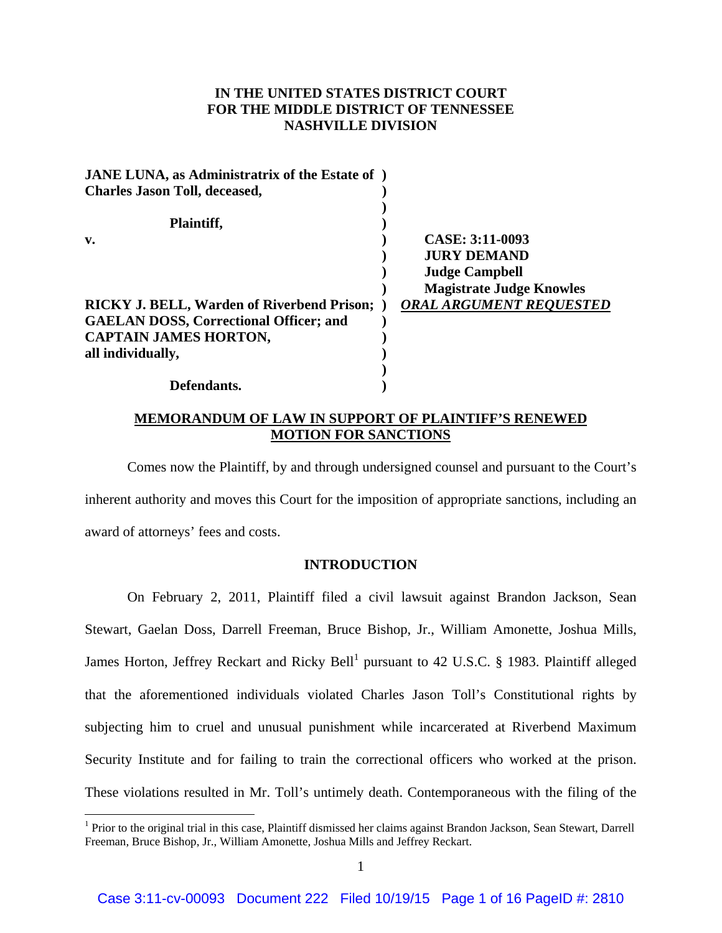# **IN THE UNITED STATES DISTRICT COURT FOR THE MIDDLE DISTRICT OF TENNESSEE NASHVILLE DIVISION**

| <b>JANE LUNA, as Administratrix of the Estate of</b> ) |                                 |
|--------------------------------------------------------|---------------------------------|
| <b>Charles Jason Toll, deceased,</b>                   |                                 |
| Plaintiff,                                             |                                 |
| v.                                                     | CASE: 3:11-0093                 |
|                                                        | <b>JURY DEMAND</b>              |
|                                                        | <b>Judge Campbell</b>           |
|                                                        | <b>Magistrate Judge Knowles</b> |
| <b>RICKY J. BELL, Warden of Riverbend Prison;</b>      | <b>ORAL ARGUMENT REQUESTED</b>  |
| <b>GAELAN DOSS, Correctional Officer; and</b>          |                                 |
| <b>CAPTAIN JAMES HORTON,</b>                           |                                 |
| all individually,                                      |                                 |
|                                                        |                                 |
| Defendants.                                            |                                 |

## **MEMORANDUM OF LAW IN SUPPORT OF PLAINTIFF'S RENEWED MOTION FOR SANCTIONS**

 Comes now the Plaintiff, by and through undersigned counsel and pursuant to the Court's inherent authority and moves this Court for the imposition of appropriate sanctions, including an award of attorneys' fees and costs.

## **INTRODUCTION**

 On February 2, 2011, Plaintiff filed a civil lawsuit against Brandon Jackson, Sean Stewart, Gaelan Doss, Darrell Freeman, Bruce Bishop, Jr., William Amonette, Joshua Mills, James Horton, Jeffrey Reckart and Ricky Bell<sup>1</sup> pursuant to 42 U.S.C. § 1983. Plaintiff alleged that the aforementioned individuals violated Charles Jason Toll's Constitutional rights by subjecting him to cruel and unusual punishment while incarcerated at Riverbend Maximum Security Institute and for failing to train the correctional officers who worked at the prison. These violations resulted in Mr. Toll's untimely death. Contemporaneous with the filing of the

1

<sup>&</sup>lt;sup>1</sup> Prior to the original trial in this case, Plaintiff dismissed her claims against Brandon Jackson, Sean Stewart, Darrell Freeman, Bruce Bishop, Jr., William Amonette, Joshua Mills and Jeffrey Reckart.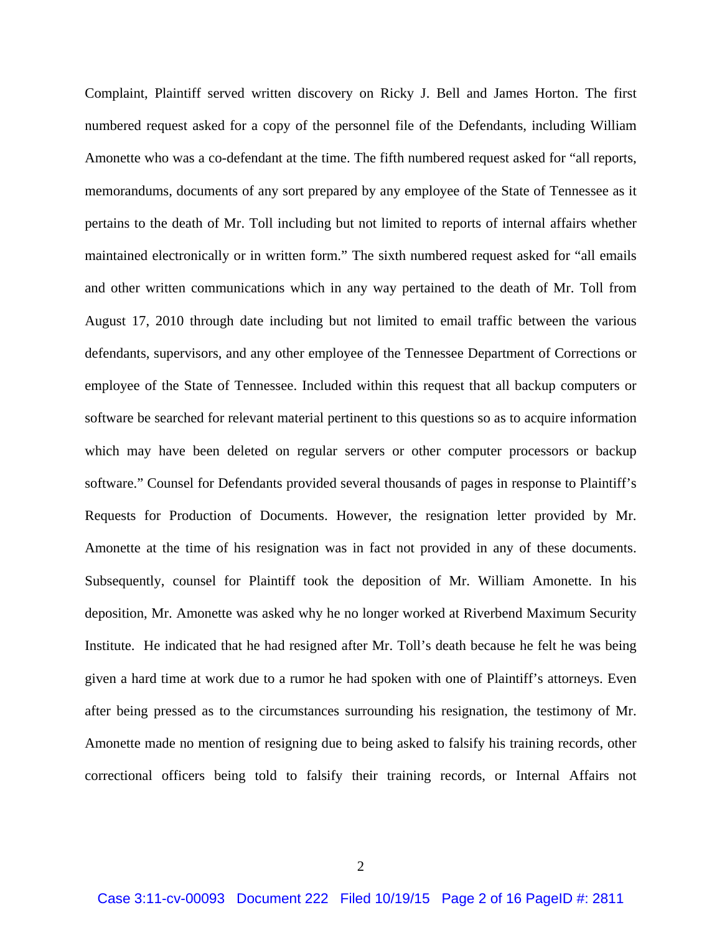Complaint, Plaintiff served written discovery on Ricky J. Bell and James Horton. The first numbered request asked for a copy of the personnel file of the Defendants, including William Amonette who was a co-defendant at the time. The fifth numbered request asked for "all reports, memorandums, documents of any sort prepared by any employee of the State of Tennessee as it pertains to the death of Mr. Toll including but not limited to reports of internal affairs whether maintained electronically or in written form." The sixth numbered request asked for "all emails and other written communications which in any way pertained to the death of Mr. Toll from August 17, 2010 through date including but not limited to email traffic between the various defendants, supervisors, and any other employee of the Tennessee Department of Corrections or employee of the State of Tennessee. Included within this request that all backup computers or software be searched for relevant material pertinent to this questions so as to acquire information which may have been deleted on regular servers or other computer processors or backup software." Counsel for Defendants provided several thousands of pages in response to Plaintiff's Requests for Production of Documents. However, the resignation letter provided by Mr. Amonette at the time of his resignation was in fact not provided in any of these documents. Subsequently, counsel for Plaintiff took the deposition of Mr. William Amonette. In his deposition, Mr. Amonette was asked why he no longer worked at Riverbend Maximum Security Institute. He indicated that he had resigned after Mr. Toll's death because he felt he was being given a hard time at work due to a rumor he had spoken with one of Plaintiff's attorneys. Even after being pressed as to the circumstances surrounding his resignation, the testimony of Mr. Amonette made no mention of resigning due to being asked to falsify his training records, other correctional officers being told to falsify their training records, or Internal Affairs not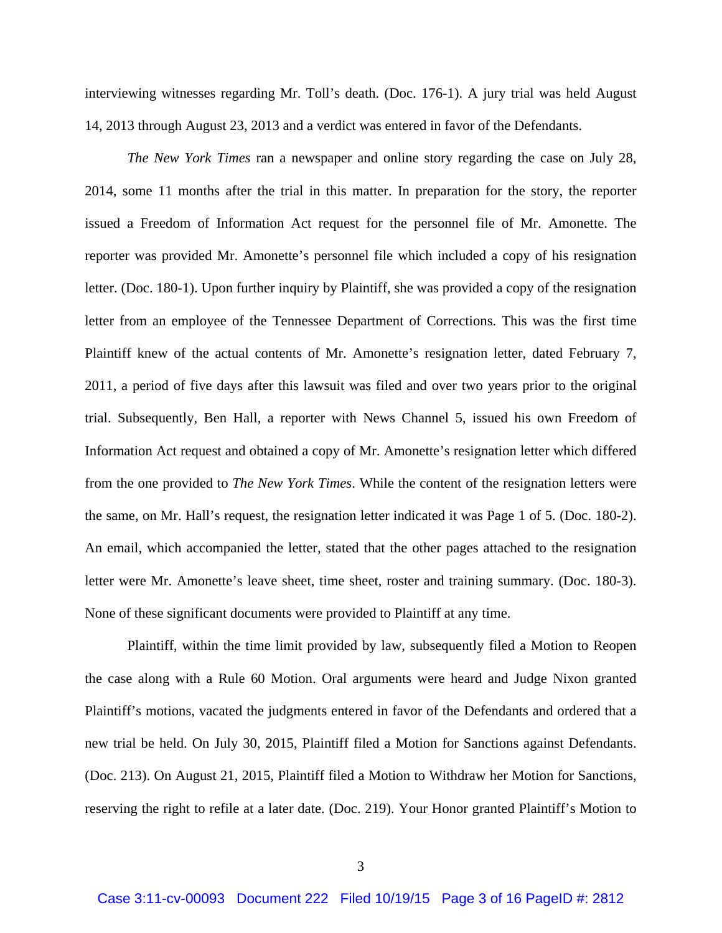interviewing witnesses regarding Mr. Toll's death. (Doc. 176-1). A jury trial was held August 14, 2013 through August 23, 2013 and a verdict was entered in favor of the Defendants.

*The New York Times* ran a newspaper and online story regarding the case on July 28, 2014, some 11 months after the trial in this matter. In preparation for the story, the reporter issued a Freedom of Information Act request for the personnel file of Mr. Amonette. The reporter was provided Mr. Amonette's personnel file which included a copy of his resignation letter. (Doc. 180-1). Upon further inquiry by Plaintiff, she was provided a copy of the resignation letter from an employee of the Tennessee Department of Corrections. This was the first time Plaintiff knew of the actual contents of Mr. Amonette's resignation letter, dated February 7, 2011, a period of five days after this lawsuit was filed and over two years prior to the original trial. Subsequently, Ben Hall, a reporter with News Channel 5, issued his own Freedom of Information Act request and obtained a copy of Mr. Amonette's resignation letter which differed from the one provided to *The New York Times*. While the content of the resignation letters were the same, on Mr. Hall's request, the resignation letter indicated it was Page 1 of 5. (Doc. 180-2). An email, which accompanied the letter, stated that the other pages attached to the resignation letter were Mr. Amonette's leave sheet, time sheet, roster and training summary. (Doc. 180-3). None of these significant documents were provided to Plaintiff at any time.

Plaintiff, within the time limit provided by law, subsequently filed a Motion to Reopen the case along with a Rule 60 Motion. Oral arguments were heard and Judge Nixon granted Plaintiff's motions, vacated the judgments entered in favor of the Defendants and ordered that a new trial be held. On July 30, 2015, Plaintiff filed a Motion for Sanctions against Defendants. (Doc. 213). On August 21, 2015, Plaintiff filed a Motion to Withdraw her Motion for Sanctions, reserving the right to refile at a later date. (Doc. 219). Your Honor granted Plaintiff's Motion to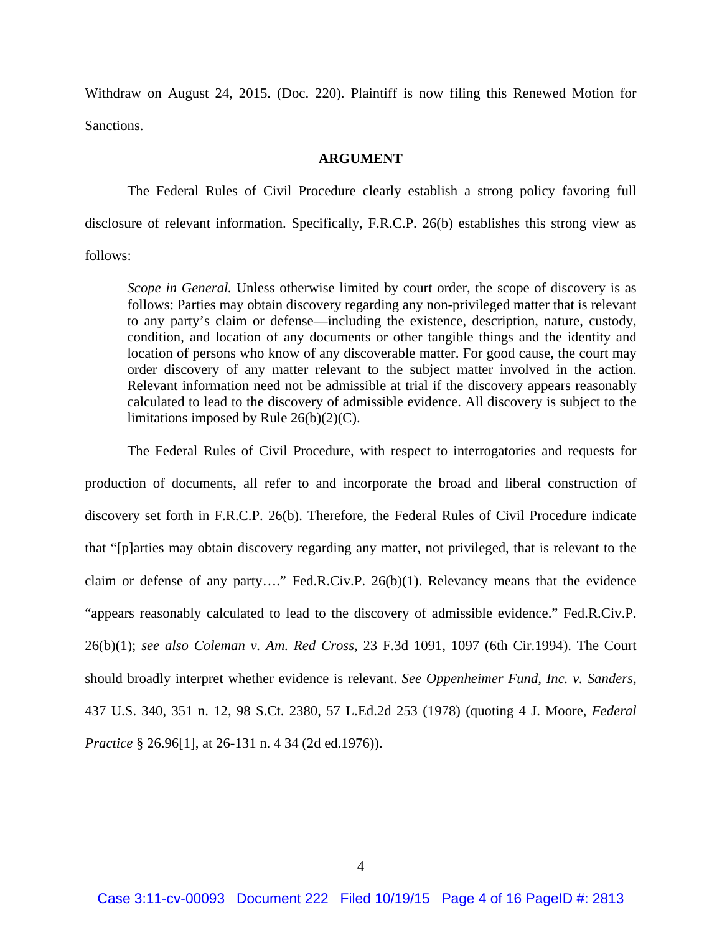Withdraw on August 24, 2015. (Doc. 220). Plaintiff is now filing this Renewed Motion for Sanctions.

#### **ARGUMENT**

 The Federal Rules of Civil Procedure clearly establish a strong policy favoring full disclosure of relevant information. Specifically, F.R.C.P. 26(b) establishes this strong view as follows:

*Scope in General.* Unless otherwise limited by court order, the scope of discovery is as follows: Parties may obtain discovery regarding any non-privileged matter that is relevant to any party's claim or defense—including the existence, description, nature, custody, condition, and location of any documents or other tangible things and the identity and location of persons who know of any discoverable matter. For good cause, the court may order discovery of any matter relevant to the subject matter involved in the action. Relevant information need not be admissible at trial if the discovery appears reasonably calculated to lead to the discovery of admissible evidence. All discovery is subject to the limitations imposed by Rule 26(b)(2)(C).

 The Federal Rules of Civil Procedure, with respect to interrogatories and requests for production of documents, all refer to and incorporate the broad and liberal construction of discovery set forth in F.R.C.P. 26(b). Therefore, the Federal Rules of Civil Procedure indicate that "[p]arties may obtain discovery regarding any matter, not privileged, that is relevant to the claim or defense of any party…." Fed.R.Civ.P. 26(b)(1). Relevancy means that the evidence "appears reasonably calculated to lead to the discovery of admissible evidence." Fed.R.Civ.P. 26(b)(1); *see also Coleman v. Am. Red Cross*, 23 F.3d 1091, 1097 (6th Cir.1994). The Court should broadly interpret whether evidence is relevant. *See Oppenheimer Fund, Inc. v. Sanders,*  437 U.S. 340, 351 n. 12, 98 S.Ct. 2380, 57 L.Ed.2d 253 (1978) (quoting 4 J. Moore, *Federal Practice* § 26.96[1], at 26-131 n. 4 34 (2d ed.1976)).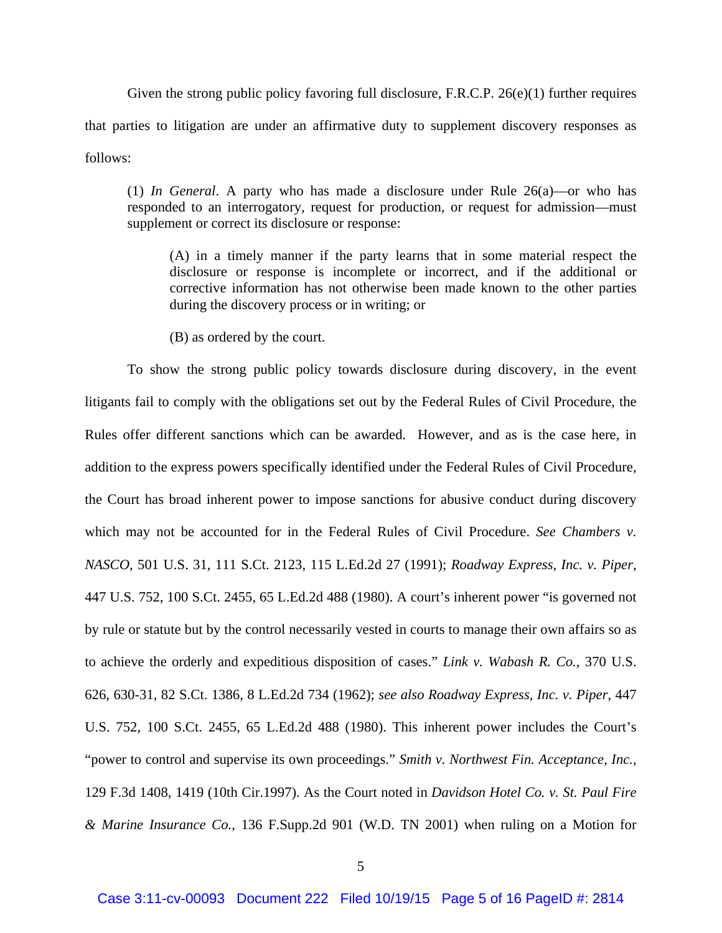Given the strong public policy favoring full disclosure, F.R.C.P. 26(e)(1) further requires that parties to litigation are under an affirmative duty to supplement discovery responses as follows:

(1) *In General*. A party who has made a disclosure under Rule 26(a)—or who has responded to an interrogatory, request for production, or request for admission—must supplement or correct its disclosure or response:

(A) in a timely manner if the party learns that in some material respect the disclosure or response is incomplete or incorrect, and if the additional or corrective information has not otherwise been made known to the other parties during the discovery process or in writing; or

(B) as ordered by the court.

 To show the strong public policy towards disclosure during discovery, in the event litigants fail to comply with the obligations set out by the Federal Rules of Civil Procedure, the Rules offer different sanctions which can be awarded. However, and as is the case here, in addition to the express powers specifically identified under the Federal Rules of Civil Procedure, the Court has broad inherent power to impose sanctions for abusive conduct during discovery which may not be accounted for in the Federal Rules of Civil Procedure. *See Chambers v. NASCO*, 501 U.S. 31, 111 S.Ct. 2123, 115 L.Ed.2d 27 (1991); *Roadway Express, Inc. v. Piper*, 447 U.S. 752, 100 S.Ct. 2455, 65 L.Ed.2d 488 (1980). A court's inherent power "is governed not by rule or statute but by the control necessarily vested in courts to manage their own affairs so as to achieve the orderly and expeditious disposition of cases." *Link v. Wabash R. Co.,* 370 U.S. 626, 630-31, 82 S.Ct. 1386, 8 L.Ed.2d 734 (1962); *see also Roadway Express, Inc. v. Piper*, 447 U.S. 752, 100 S.Ct. 2455, 65 L.Ed.2d 488 (1980). This inherent power includes the Court's "power to control and supervise its own proceedings." *Smith v. Northwest Fin. Acceptance, Inc.,* 129 F.3d 1408, 1419 (10th Cir.1997). As the Court noted in *Davidson Hotel Co. v. St. Paul Fire & Marine Insurance Co.,* 136 F.Supp.2d 901 (W.D. TN 2001) when ruling on a Motion for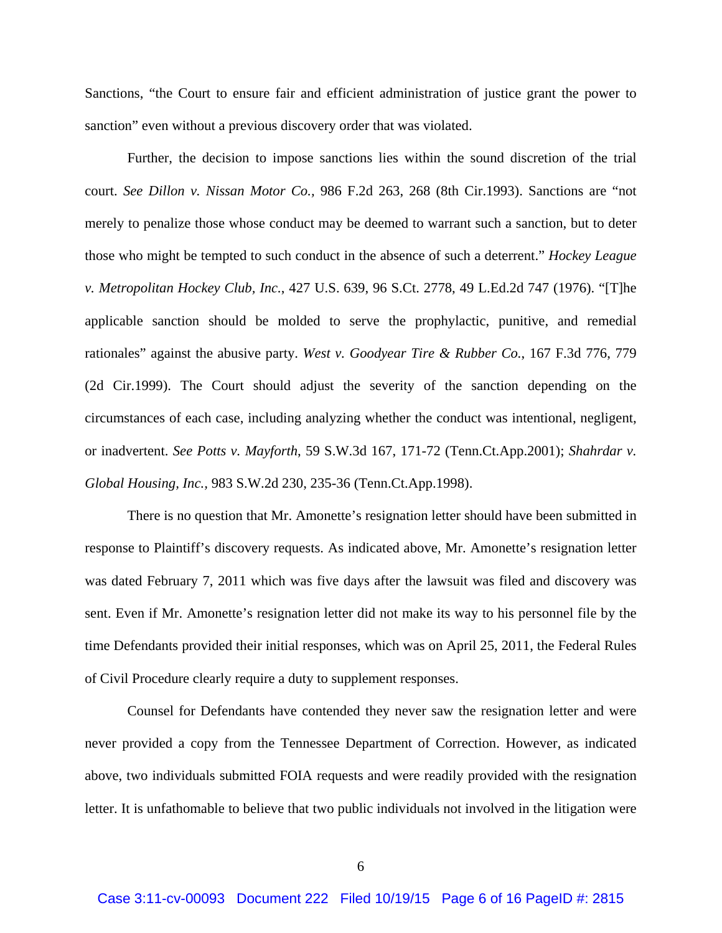Sanctions, "the Court to ensure fair and efficient administration of justice grant the power to sanction" even without a previous discovery order that was violated.

 Further, the decision to impose sanctions lies within the sound discretion of the trial court. *See Dillon v. Nissan Motor Co.,* 986 F.2d 263, 268 (8th Cir.1993). Sanctions are "not merely to penalize those whose conduct may be deemed to warrant such a sanction, but to deter those who might be tempted to such conduct in the absence of such a deterrent." *Hockey League v. Metropolitan Hockey Club, Inc.*, 427 U.S. 639, 96 S.Ct. 2778, 49 L.Ed.2d 747 (1976). "[T]he applicable sanction should be molded to serve the prophylactic, punitive, and remedial rationales" against the abusive party. *West v. Goodyear Tire & Rubber Co.*, 167 F.3d 776, 779 (2d Cir.1999). The Court should adjust the severity of the sanction depending on the circumstances of each case, including analyzing whether the conduct was intentional, negligent, or inadvertent. *See Potts v. Mayforth*, 59 S.W.3d 167, 171-72 (Tenn.Ct.App.2001); *Shahrdar v. Global Housing, Inc.,* 983 S.W.2d 230, 235-36 (Tenn.Ct.App.1998).

 There is no question that Mr. Amonette's resignation letter should have been submitted in response to Plaintiff's discovery requests. As indicated above, Mr. Amonette's resignation letter was dated February 7, 2011 which was five days after the lawsuit was filed and discovery was sent. Even if Mr. Amonette's resignation letter did not make its way to his personnel file by the time Defendants provided their initial responses, which was on April 25, 2011, the Federal Rules of Civil Procedure clearly require a duty to supplement responses.

Counsel for Defendants have contended they never saw the resignation letter and were never provided a copy from the Tennessee Department of Correction. However, as indicated above, two individuals submitted FOIA requests and were readily provided with the resignation letter. It is unfathomable to believe that two public individuals not involved in the litigation were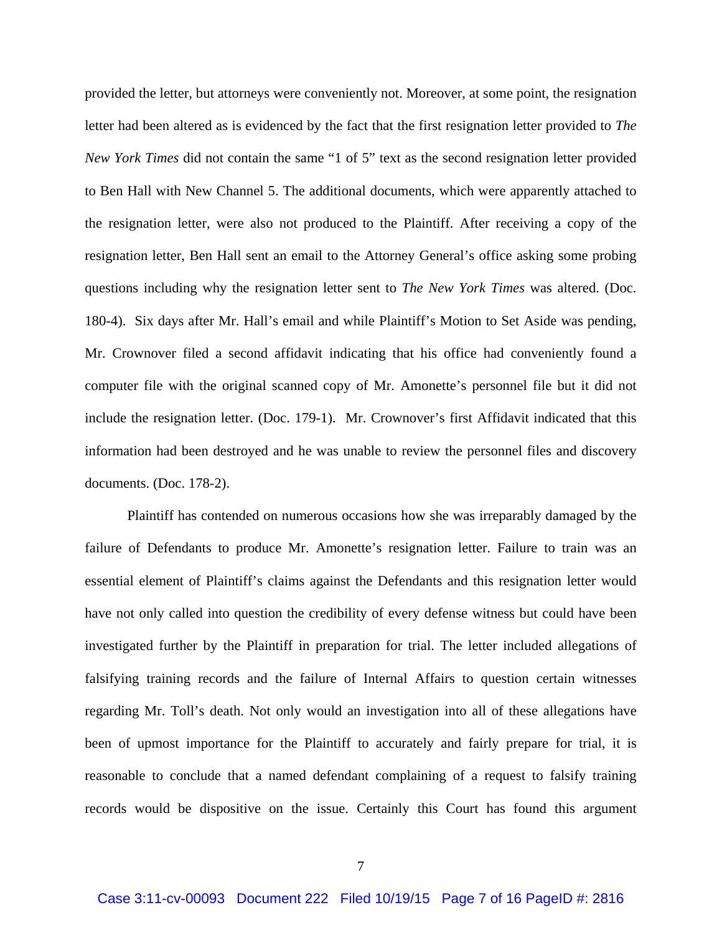provided the letter, but attorneys were conveniently not. Moreover, at some point, the resignation letter had been altered as is evidenced by the fact that the first resignation letter provided to *The New York Times* did not contain the same "1 of 5" text as the second resignation letter provided to Ben Hall with New Channel 5. The additional documents, which were apparently attached to the resignation letter, were also not produced to the Plaintiff. After receiving a copy of the resignation letter, Ben Hall sent an email to the Attorney General's office asking some probing questions including why the resignation letter sent to *The New York Times* was altered. (Doc. 180-4). Six days after Mr. Hall's email and while Plaintiff's Motion to Set Aside was pending, Mr. Crownover filed a second affidavit indicating that his office had conveniently found a computer file with the original scanned copy of Mr. Amonette's personnel file but it did not include the resignation letter. (Doc. 179-1). Mr. Crownover's first Affidavit indicated that this information had been destroyed and he was unable to review the personnel files and discovery documents. (Doc. 178-2).

Plaintiff has contended on numerous occasions how she was irreparably damaged by the failure of Defendants to produce Mr. Amonette's resignation letter. Failure to train was an essential element of Plaintiff's claims against the Defendants and this resignation letter would have not only called into question the credibility of every defense witness but could have been investigated further by the Plaintiff in preparation for trial. The letter included allegations of falsifying training records and the failure of Internal Affairs to question certain witnesses regarding Mr. Toll's death. Not only would an investigation into all of these allegations have been of upmost importance for the Plaintiff to accurately and fairly prepare for trial, it is reasonable to conclude that a named defendant complaining of a request to falsify training records would be dispositive on the issue. Certainly this Court has found this argument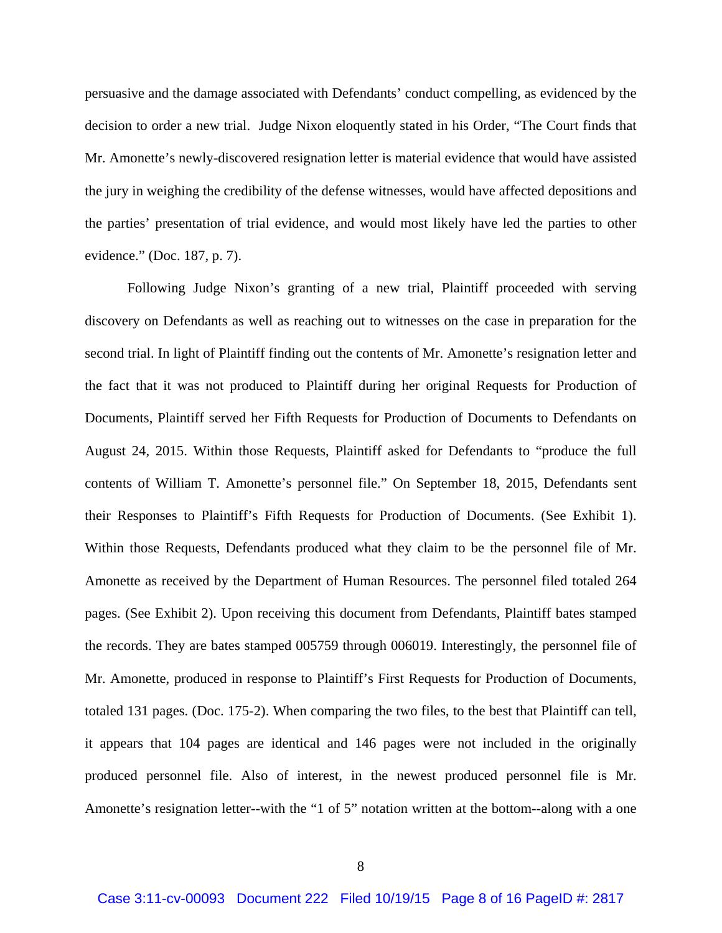persuasive and the damage associated with Defendants' conduct compelling, as evidenced by the decision to order a new trial. Judge Nixon eloquently stated in his Order, "The Court finds that Mr. Amonette's newly-discovered resignation letter is material evidence that would have assisted the jury in weighing the credibility of the defense witnesses, would have affected depositions and the parties' presentation of trial evidence, and would most likely have led the parties to other evidence." (Doc. 187, p. 7).

Following Judge Nixon's granting of a new trial, Plaintiff proceeded with serving discovery on Defendants as well as reaching out to witnesses on the case in preparation for the second trial. In light of Plaintiff finding out the contents of Mr. Amonette's resignation letter and the fact that it was not produced to Plaintiff during her original Requests for Production of Documents, Plaintiff served her Fifth Requests for Production of Documents to Defendants on August 24, 2015. Within those Requests, Plaintiff asked for Defendants to "produce the full contents of William T. Amonette's personnel file." On September 18, 2015, Defendants sent their Responses to Plaintiff's Fifth Requests for Production of Documents. (See Exhibit 1). Within those Requests, Defendants produced what they claim to be the personnel file of Mr. Amonette as received by the Department of Human Resources. The personnel filed totaled 264 pages. (See Exhibit 2). Upon receiving this document from Defendants, Plaintiff bates stamped the records. They are bates stamped 005759 through 006019. Interestingly, the personnel file of Mr. Amonette, produced in response to Plaintiff's First Requests for Production of Documents, totaled 131 pages. (Doc. 175-2). When comparing the two files, to the best that Plaintiff can tell, it appears that 104 pages are identical and 146 pages were not included in the originally produced personnel file. Also of interest, in the newest produced personnel file is Mr. Amonette's resignation letter--with the "1 of 5" notation written at the bottom--along with a one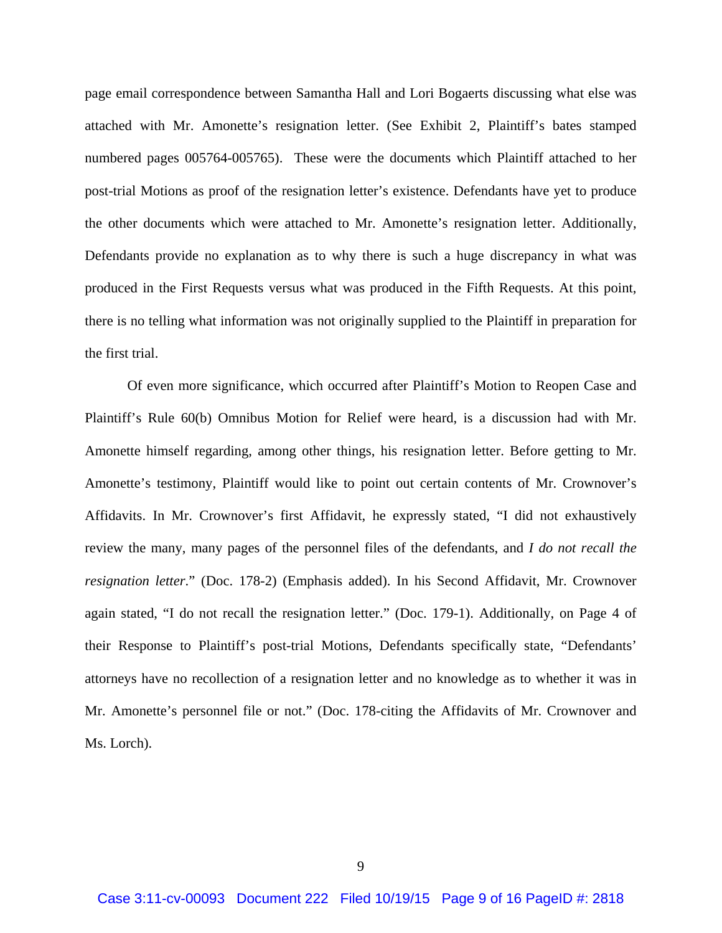page email correspondence between Samantha Hall and Lori Bogaerts discussing what else was attached with Mr. Amonette's resignation letter. (See Exhibit 2, Plaintiff's bates stamped numbered pages 005764-005765). These were the documents which Plaintiff attached to her post-trial Motions as proof of the resignation letter's existence. Defendants have yet to produce the other documents which were attached to Mr. Amonette's resignation letter. Additionally, Defendants provide no explanation as to why there is such a huge discrepancy in what was produced in the First Requests versus what was produced in the Fifth Requests. At this point, there is no telling what information was not originally supplied to the Plaintiff in preparation for the first trial.

 Of even more significance, which occurred after Plaintiff's Motion to Reopen Case and Plaintiff's Rule 60(b) Omnibus Motion for Relief were heard, is a discussion had with Mr. Amonette himself regarding, among other things, his resignation letter. Before getting to Mr. Amonette's testimony, Plaintiff would like to point out certain contents of Mr. Crownover's Affidavits. In Mr. Crownover's first Affidavit, he expressly stated, "I did not exhaustively review the many, many pages of the personnel files of the defendants, and *I do not recall the resignation letter*." (Doc. 178-2) (Emphasis added). In his Second Affidavit, Mr. Crownover again stated, "I do not recall the resignation letter." (Doc. 179-1). Additionally, on Page 4 of their Response to Plaintiff's post-trial Motions, Defendants specifically state, "Defendants' attorneys have no recollection of a resignation letter and no knowledge as to whether it was in Mr. Amonette's personnel file or not." (Doc. 178-citing the Affidavits of Mr. Crownover and Ms. Lorch).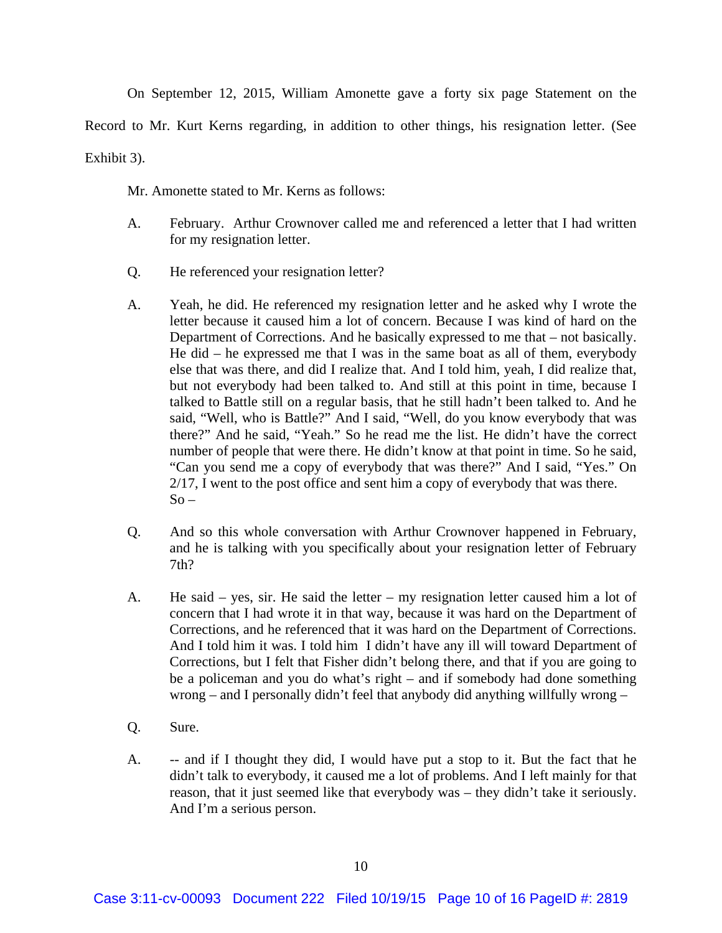On September 12, 2015, William Amonette gave a forty six page Statement on the

Record to Mr. Kurt Kerns regarding, in addition to other things, his resignation letter. (See

Exhibit 3).

Mr. Amonette stated to Mr. Kerns as follows:

- A. February. Arthur Crownover called me and referenced a letter that I had written for my resignation letter.
- Q. He referenced your resignation letter?
- A. Yeah, he did. He referenced my resignation letter and he asked why I wrote the letter because it caused him a lot of concern. Because I was kind of hard on the Department of Corrections. And he basically expressed to me that – not basically. He did – he expressed me that I was in the same boat as all of them, everybody else that was there, and did I realize that. And I told him, yeah, I did realize that, but not everybody had been talked to. And still at this point in time, because I talked to Battle still on a regular basis, that he still hadn't been talked to. And he said, "Well, who is Battle?" And I said, "Well, do you know everybody that was there?" And he said, "Yeah." So he read me the list. He didn't have the correct number of people that were there. He didn't know at that point in time. So he said, "Can you send me a copy of everybody that was there?" And I said, "Yes." On 2/17, I went to the post office and sent him a copy of everybody that was there.  $So -$
- Q. And so this whole conversation with Arthur Crownover happened in February, and he is talking with you specifically about your resignation letter of February 7th?
- A. He said yes, sir. He said the letter my resignation letter caused him a lot of concern that I had wrote it in that way, because it was hard on the Department of Corrections, and he referenced that it was hard on the Department of Corrections. And I told him it was. I told him I didn't have any ill will toward Department of Corrections, but I felt that Fisher didn't belong there, and that if you are going to be a policeman and you do what's right – and if somebody had done something wrong – and I personally didn't feel that anybody did anything willfully wrong –
- Q. Sure.
- A. -- and if I thought they did, I would have put a stop to it. But the fact that he didn't talk to everybody, it caused me a lot of problems. And I left mainly for that reason, that it just seemed like that everybody was – they didn't take it seriously. And I'm a serious person.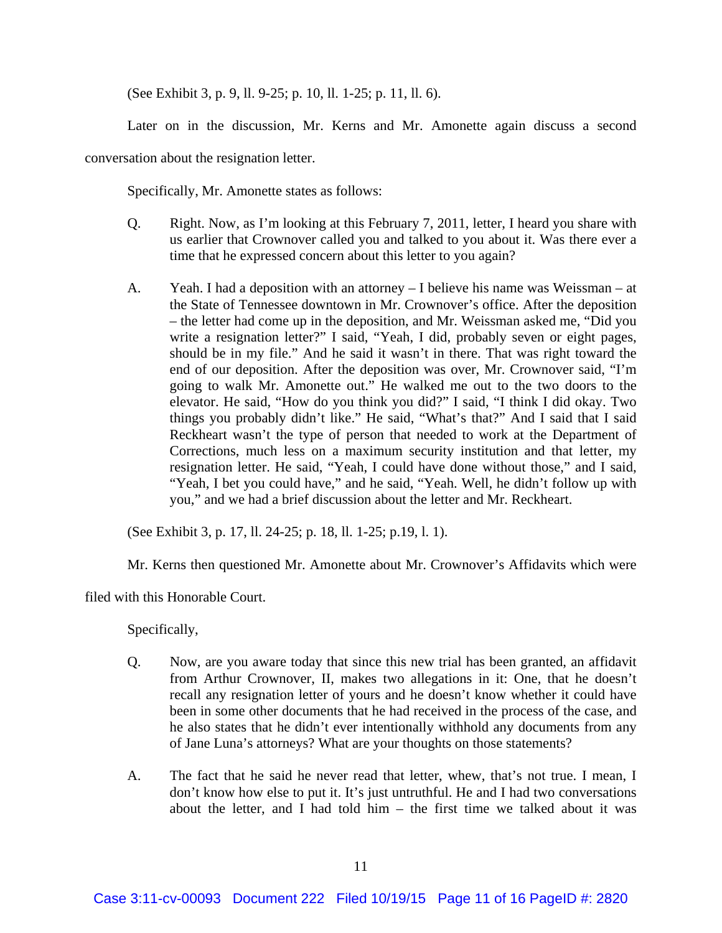(See Exhibit 3, p. 9, ll. 9-25; p. 10, ll. 1-25; p. 11, ll. 6).

Later on in the discussion, Mr. Kerns and Mr. Amonette again discuss a second

conversation about the resignation letter.

Specifically, Mr. Amonette states as follows:

- Q. Right. Now, as I'm looking at this February 7, 2011, letter, I heard you share with us earlier that Crownover called you and talked to you about it. Was there ever a time that he expressed concern about this letter to you again?
- A. Yeah. I had a deposition with an attorney I believe his name was Weissman at the State of Tennessee downtown in Mr. Crownover's office. After the deposition – the letter had come up in the deposition, and Mr. Weissman asked me, "Did you write a resignation letter?" I said, "Yeah, I did, probably seven or eight pages, should be in my file." And he said it wasn't in there. That was right toward the end of our deposition. After the deposition was over, Mr. Crownover said, "I'm going to walk Mr. Amonette out." He walked me out to the two doors to the elevator. He said, "How do you think you did?" I said, "I think I did okay. Two things you probably didn't like." He said, "What's that?" And I said that I said Reckheart wasn't the type of person that needed to work at the Department of Corrections, much less on a maximum security institution and that letter, my resignation letter. He said, "Yeah, I could have done without those," and I said, "Yeah, I bet you could have," and he said, "Yeah. Well, he didn't follow up with you," and we had a brief discussion about the letter and Mr. Reckheart.

(See Exhibit 3, p. 17, ll. 24-25; p. 18, ll. 1-25; p.19, l. 1).

Mr. Kerns then questioned Mr. Amonette about Mr. Crownover's Affidavits which were

filed with this Honorable Court.

Specifically,

- Q. Now, are you aware today that since this new trial has been granted, an affidavit from Arthur Crownover, II, makes two allegations in it: One, that he doesn't recall any resignation letter of yours and he doesn't know whether it could have been in some other documents that he had received in the process of the case, and he also states that he didn't ever intentionally withhold any documents from any of Jane Luna's attorneys? What are your thoughts on those statements?
- A. The fact that he said he never read that letter, whew, that's not true. I mean, I don't know how else to put it. It's just untruthful. He and I had two conversations about the letter, and I had told him – the first time we talked about it was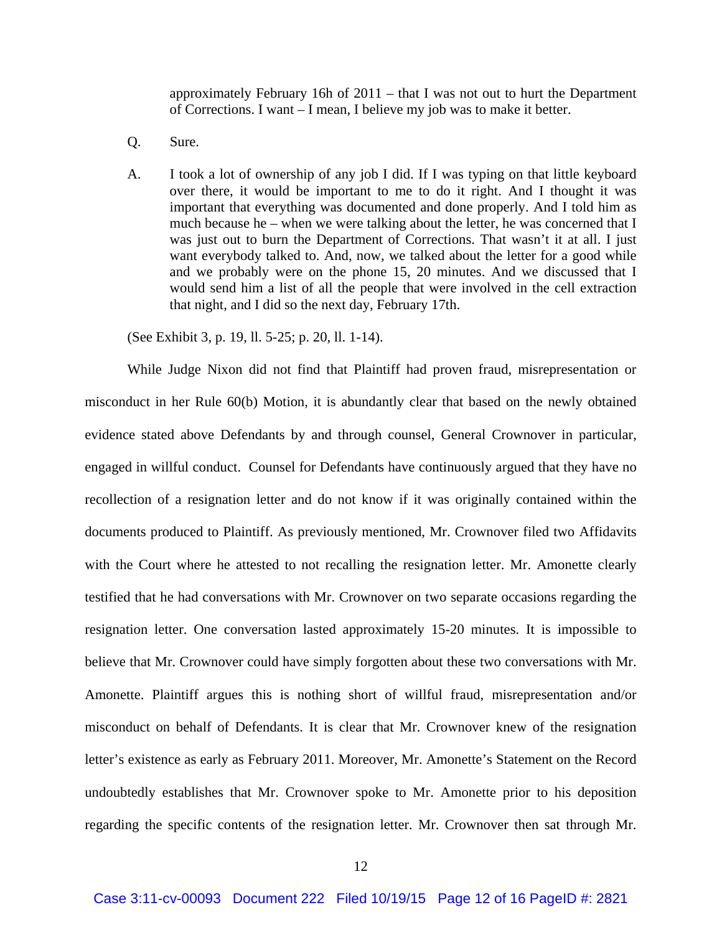approximately February 16h of 2011 – that I was not out to hurt the Department of Corrections. I want – I mean, I believe my job was to make it better.

- Q. Sure.
- A. I took a lot of ownership of any job I did. If I was typing on that little keyboard over there, it would be important to me to do it right. And I thought it was important that everything was documented and done properly. And I told him as much because he – when we were talking about the letter, he was concerned that I was just out to burn the Department of Corrections. That wasn't it at all. I just want everybody talked to. And, now, we talked about the letter for a good while and we probably were on the phone 15, 20 minutes. And we discussed that I would send him a list of all the people that were involved in the cell extraction that night, and I did so the next day, February 17th.

(See Exhibit 3, p. 19, ll. 5-25; p. 20, ll. 1-14).

 While Judge Nixon did not find that Plaintiff had proven fraud, misrepresentation or misconduct in her Rule 60(b) Motion, it is abundantly clear that based on the newly obtained evidence stated above Defendants by and through counsel, General Crownover in particular, engaged in willful conduct. Counsel for Defendants have continuously argued that they have no recollection of a resignation letter and do not know if it was originally contained within the documents produced to Plaintiff. As previously mentioned, Mr. Crownover filed two Affidavits with the Court where he attested to not recalling the resignation letter. Mr. Amonette clearly testified that he had conversations with Mr. Crownover on two separate occasions regarding the resignation letter. One conversation lasted approximately 15-20 minutes. It is impossible to believe that Mr. Crownover could have simply forgotten about these two conversations with Mr. Amonette. Plaintiff argues this is nothing short of willful fraud, misrepresentation and/or misconduct on behalf of Defendants. It is clear that Mr. Crownover knew of the resignation letter's existence as early as February 2011. Moreover, Mr. Amonette's Statement on the Record undoubtedly establishes that Mr. Crownover spoke to Mr. Amonette prior to his deposition regarding the specific contents of the resignation letter. Mr. Crownover then sat through Mr.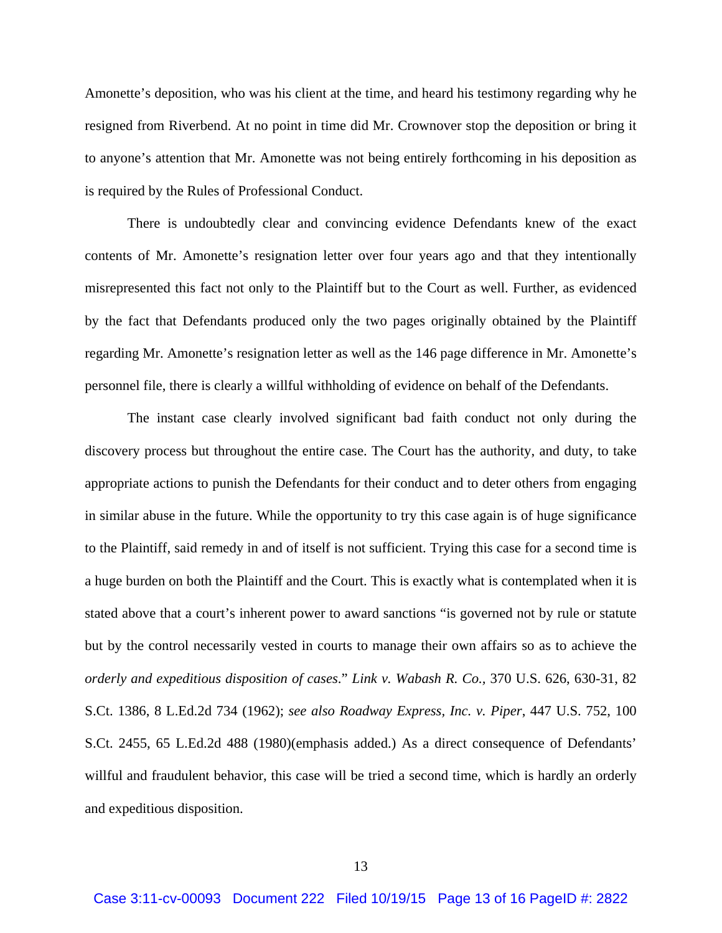Amonette's deposition, who was his client at the time, and heard his testimony regarding why he resigned from Riverbend. At no point in time did Mr. Crownover stop the deposition or bring it to anyone's attention that Mr. Amonette was not being entirely forthcoming in his deposition as is required by the Rules of Professional Conduct.

There is undoubtedly clear and convincing evidence Defendants knew of the exact contents of Mr. Amonette's resignation letter over four years ago and that they intentionally misrepresented this fact not only to the Plaintiff but to the Court as well. Further, as evidenced by the fact that Defendants produced only the two pages originally obtained by the Plaintiff regarding Mr. Amonette's resignation letter as well as the 146 page difference in Mr. Amonette's personnel file, there is clearly a willful withholding of evidence on behalf of the Defendants.

The instant case clearly involved significant bad faith conduct not only during the discovery process but throughout the entire case. The Court has the authority, and duty, to take appropriate actions to punish the Defendants for their conduct and to deter others from engaging in similar abuse in the future. While the opportunity to try this case again is of huge significance to the Plaintiff, said remedy in and of itself is not sufficient. Trying this case for a second time is a huge burden on both the Plaintiff and the Court. This is exactly what is contemplated when it is stated above that a court's inherent power to award sanctions "is governed not by rule or statute but by the control necessarily vested in courts to manage their own affairs so as to achieve the *orderly and expeditious disposition of cases*." *Link v. Wabash R. Co.,* 370 U.S. 626, 630-31, 82 S.Ct. 1386, 8 L.Ed.2d 734 (1962); *see also Roadway Express, Inc. v. Piper*, 447 U.S. 752, 100 S.Ct. 2455, 65 L.Ed.2d 488 (1980)(emphasis added.) As a direct consequence of Defendants' willful and fraudulent behavior, this case will be tried a second time, which is hardly an orderly and expeditious disposition.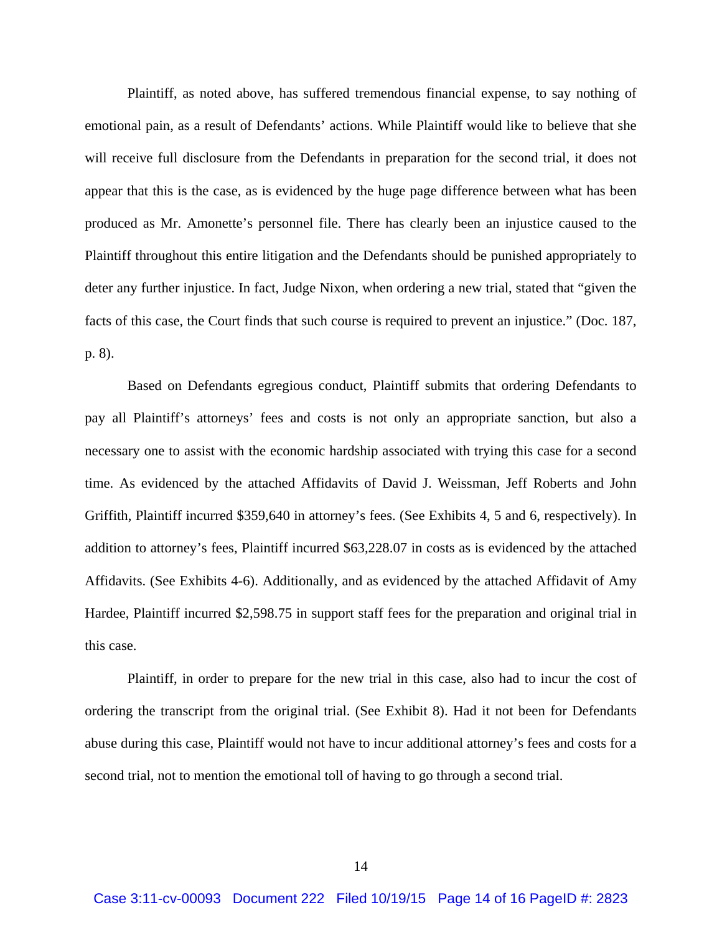Plaintiff, as noted above, has suffered tremendous financial expense, to say nothing of emotional pain, as a result of Defendants' actions. While Plaintiff would like to believe that she will receive full disclosure from the Defendants in preparation for the second trial, it does not appear that this is the case, as is evidenced by the huge page difference between what has been produced as Mr. Amonette's personnel file. There has clearly been an injustice caused to the Plaintiff throughout this entire litigation and the Defendants should be punished appropriately to deter any further injustice. In fact, Judge Nixon, when ordering a new trial, stated that "given the facts of this case, the Court finds that such course is required to prevent an injustice." (Doc. 187, p. 8).

Based on Defendants egregious conduct, Plaintiff submits that ordering Defendants to pay all Plaintiff's attorneys' fees and costs is not only an appropriate sanction, but also a necessary one to assist with the economic hardship associated with trying this case for a second time. As evidenced by the attached Affidavits of David J. Weissman, Jeff Roberts and John Griffith, Plaintiff incurred \$359,640 in attorney's fees. (See Exhibits 4, 5 and 6, respectively). In addition to attorney's fees, Plaintiff incurred \$63,228.07 in costs as is evidenced by the attached Affidavits. (See Exhibits 4-6). Additionally, and as evidenced by the attached Affidavit of Amy Hardee, Plaintiff incurred \$2,598.75 in support staff fees for the preparation and original trial in this case.

Plaintiff, in order to prepare for the new trial in this case, also had to incur the cost of ordering the transcript from the original trial. (See Exhibit 8). Had it not been for Defendants abuse during this case, Plaintiff would not have to incur additional attorney's fees and costs for a second trial, not to mention the emotional toll of having to go through a second trial.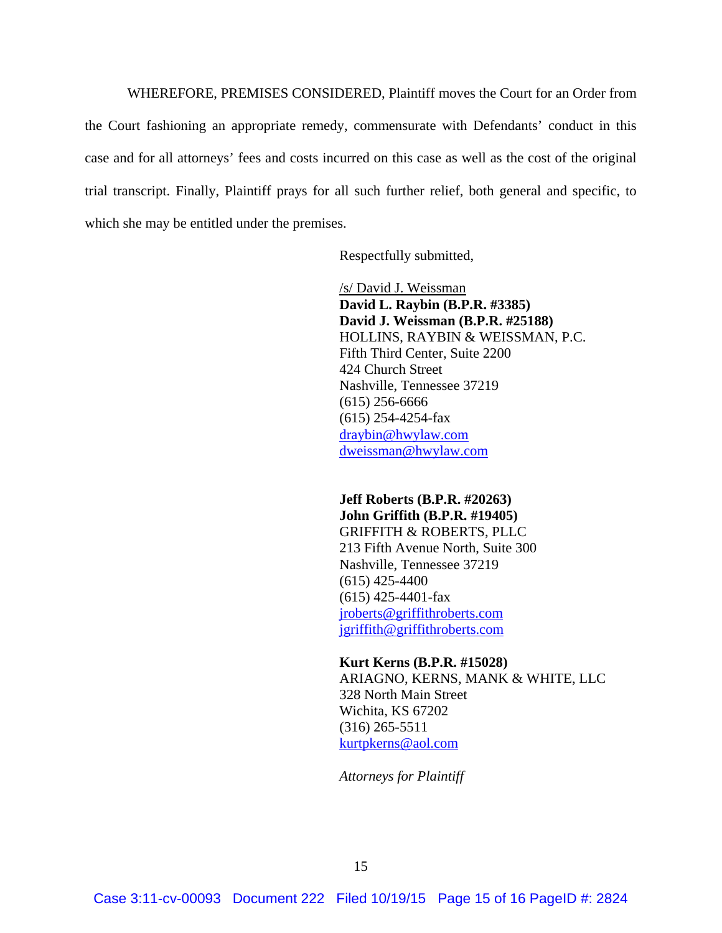WHEREFORE, PREMISES CONSIDERED, Plaintiff moves the Court for an Order from the Court fashioning an appropriate remedy, commensurate with Defendants' conduct in this case and for all attorneys' fees and costs incurred on this case as well as the cost of the original trial transcript. Finally, Plaintiff prays for all such further relief, both general and specific, to which she may be entitled under the premises.

Respectfully submitted,

 /s/ David J. Weissman **David L. Raybin (B.P.R. #3385) David J. Weissman (B.P.R. #25188)**  HOLLINS, RAYBIN & WEISSMAN, P.C. Fifth Third Center, Suite 2200 424 Church Street Nashville, Tennessee 37219 (615) 256-6666 (615) 254-4254-fax draybin@hwylaw.com dweissman@hwylaw.com

**Jeff Roberts (B.P.R. #20263) John Griffith (B.P.R. #19405)**  GRIFFITH & ROBERTS, PLLC 213 Fifth Avenue North, Suite 300 Nashville, Tennessee 37219 (615) 425-4400 (615) 425-4401-fax jroberts@griffithroberts.com jgriffith@griffithroberts.com

**Kurt Kerns (B.P.R. #15028)**  ARIAGNO, KERNS, MANK & WHITE, LLC 328 North Main Street Wichita, KS 67202 (316) 265-5511 kurtpkerns@aol.com

*Attorneys for Plaintiff*